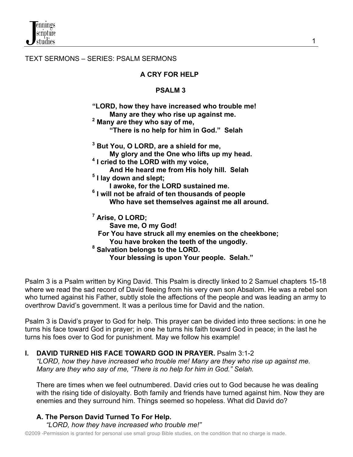TEXT SERMONS – SERIES: PSALM SERMONS

### **A CRY FOR HELP**

#### **PSALM 3**

 **"LORD, how they have increased who trouble me! Many are they who rise up against me. <sup>2</sup> Many** *are* **they who say of me, "There is no help for him in God." Selah 3 3 3 3** <sup>3</sup> But You, O LORD, are a shield for me,  **My glory and the One who lifts up my head. <sup>4</sup> I cried to the LORD with my voice, And He heard me from His holy hill. Selah 1 5** <sup>5</sup> I lay down and slept;  **I awoke, for the LORD sustained me. <sup>6</sup> I will not be afraid of ten thousands of people Who have set themselves against me all around. <sup>7</sup>** <sup>7</sup> Arise, O LORD;  **Save me, O my God! For You have struck all my enemies on the cheekbone; You have broken the teeth of the ungodly. <sup>8</sup> Salvation belongs to the LORD. Your blessing is upon Your people. Selah."**

Psalm 3 is a Psalm written by King David. This Psalm is directly linked to 2 Samuel chapters 15-18 where we read the sad record of David fleeing from his very own son Absalom. He was a rebel son who turned against his Father, subtly stole the affections of the people and was leading an army to overthrow David's government. It was a perilous time for David and the nation.

Psalm 3 is David's prayer to God for help. This prayer can be divided into three sections: in one he turns his face toward God in prayer; in one he turns his faith toward God in peace; in the last he turns his foes over to God for punishment. May we follow his example!

### **I. DAVID TURNED HIS FACE TOWARD GOD IN PRAYER.** Psalm 3:1-2

 *"LORD, how they have increased who trouble me! Many are they who rise up against me. Many are they who say of me, "There is no help for him in God." Selah.*

 There are times when we feel outnumbered. David cries out to God because he was dealing with the rising tide of disloyalty. Both family and friends have turned against him. Now they are enemies and they surround him. Things seemed so hopeless. What did David do?

# **A. The Person David Turned To For Help.**

*"LORD, how they have increased who trouble me!"*

©2009 -Permission is granted for personal use small group Bible studies, on the condition that no charge is made.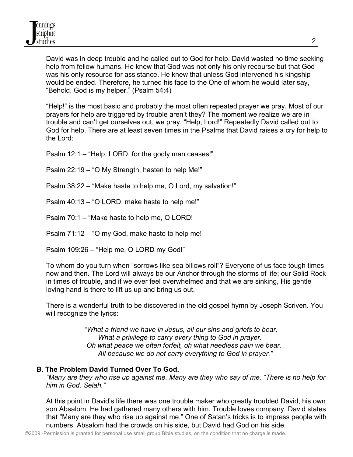David was in deep trouble and he called out to God for help. David wasted no time seeking help from fellow humans. He knew that God was not only his only recourse but that God was his only resource for assistance. He knew that unless God intervened his kingship would be ended. Therefore, he turned his face to the One of whom he would later say, "Behold, God is my helper." (Psalm 54:4)

 "Help!" is the most basic and probably the most often repeated prayer we pray. Most of our prayers for help are triggered by trouble aren't they? The moment we realize we are in trouble and can't get ourselves out, we pray, "Help, Lord!" Repeatedly David called out to God for help. There are at least seven times in the Psalms that David raises a cry for help to the Lord:

Psalm 12:1 – "Help, LORD, for the godly man ceases!"

Psalm 22:19 – "O My Strength, hasten to help Me!"

Psalm 38:22 – "Make haste to help me, O Lord, my salvation!"

Psalm 40:13 – "O LORD, make haste to help me!"

Psalm 70:1 – "Make haste to help me, O LORD!

Psalm 71:12 – "O my God, make haste to help me!

Psalm 109:26 – "Help me, O LORD my God!"

 To whom do you turn when "sorrows like sea billows roll"? Everyone of us face tough times now and then. The Lord will always be our Anchor through the storms of life; our Solid Rock in times of trouble, and if we ever feel overwhelmed and that we are sinking, His gentle loving hand is there to lift us up and bring us out.

 There is a wonderful truth to be discovered in the old gospel hymn by Joseph Scriven. You will recognize the lyrics:

> *"What a friend we have in Jesus, all our sins and griefs to bear, What a privilege to carry every thing to God in prayer. Oh what peace we often forfeit, oh what needless pain we bear, All because we do not carry everything to God in prayer."*

### **B. The Problem David Turned Over To God.**

*"Many are they who rise up against me. Many are they who say of me, "There is no help for him in God. Selah."*

 At this point in David's life there was one trouble maker who greatly troubled David, his own son Absalom. He had gathered many others with him. Trouble loves company. David states that "Many are they who rise up against me." One of Satan's tricks is to impress people with numbers. Absalom had the crowds on his side, but David had God on his side.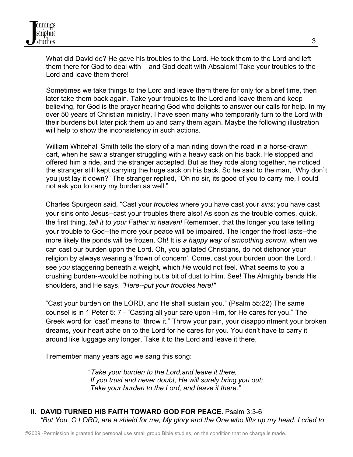What did David do? He gave his troubles to the Lord. He took them to the Lord and left them there for God to deal with – and God dealt with Absalom! Take your troubles to the Lord and leave them there!

 Sometimes we take things to the Lord and leave them there for only for a brief time, then later take them back again. Take your troubles to the Lord and leave them and keep believing, for God is the prayer hearing God who delights to answer our calls for help. In my over 50 years of Christian ministry, I have seen many who temporarily turn to the Lord with their burdens but later pick them up and carry them again. Maybe the following illustration will help to show the inconsistency in such actions.

 William Whitehall Smith tells the story of a man riding down the road in a horse-drawn cart, when he saw a stranger struggling with a heavy sack on his back. He stopped and offered him a ride, and the stranger accepted. But as they rode along together, he noticed the stranger still kept carrying the huge sack on his back. So he said to the man, "Why don`t you just lay it down?" The stranger replied, "Oh no sir, its good of you to carry me, I could not ask you to carry my burden as well."

Charles Spurgeon said, "Cast your *troubles* where you have cast your *sins*; you have cast your sins onto Jesus--cast your troubles there also! As soon as the trouble comes, quick, the first thing, *tell it to your Father in heaven!* Remember, that the longer you take telling your trouble to God--the more your peace will be impaired. The longer the frost lasts--the more likely the ponds will be frozen. Oh! It is *a happy way of smoothing sorrow*, when we can cast our burden upon the Lord. Oh, you agitated Christians, do not dishonor your religion by always wearing a 'frown of concern'. Come, cast your burden upon the Lord. I see *you* staggering beneath a weight, which *He* would not feel. What seems to you a crushing burden--would be nothing but a bit of dust to Him. See! The Almighty bends His shoulders, and He says, *"Here--put your troubles here!"* 

"Cast your burden on the LORD, and He shall sustain you." (Psalm 55:22) The same counsel is in 1 Peter 5: 7 - "Casting all your care upon Him, for He cares for you." The Greek word for 'cast' means to "throw it." Throw your pain, your disappointment your broken dreams, your heart ache on to the Lord for he cares for you. You don't have to carry it around like luggage any longer. Take it to the Lord and leave it there.

I remember many years ago we sang this song:

 "*Take your burden to the Lord,and leave it there, If you trust and never doubt, He will surely bring you out; Take your burden to the Lord, and leave it there."*

# **II. DAVID TURNED HIS FAITH TOWARD GOD FOR PEACE.** Psalm 3:3-6  *"But You, O LORD, are a shield for me, My glory and the One who lifts up my head. I cried to*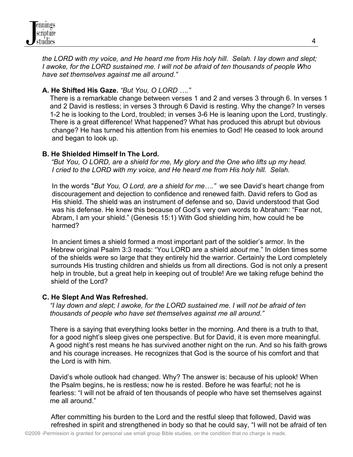

 *the LORD with my voice, and He heard me from His holy hill. Selah. I lay down and slept; I awoke, for the LORD sustained me. I will not be afraid of ten thousands of people Who have set themselves against me all around."* 

# **A. He Shifted His Gaze.** *"But You, O LORD …."*

There is a remarkable change between verses 1 and 2 and verses 3 through 6. In verses 1 and 2 David is restless; in verses 3 through 6 David is resting. Why the change? In verses 1-2 he is looking to the Lord, troubled; in verses 3-6 He is leaning upon the Lord, trustingly. There is a great difference! What happened? What has produced this abrupt but obvious change? He has turned his attention from his enemies to God! He ceased to look around and began to look up.

### **B. He Shielded Himself In The Lord.**

 *"But You, O LORD, are a shield for me, My glory and the One who lifts up my head. I cried to the LORD with my voice, and He heard me from His holy hill. Selah.*

In the words "*But You, O Lord, are a shield for me…."* we see David's heart change from discouragement and dejection to confidence and renewed faith. David refers to God as His shield. The shield was an instrument of defense and so, David understood that God was his defense. He knew this because of God's very own words to Abraham: "Fear not, Abram, I am your shield." (Genesis 15:1) With God shielding him, how could he be harmed?

 In ancient times a shield formed a most important part of the soldier's armor. In the Hebrew original Psalm 3:3 reads: "You LORD are a shield *about* me." In olden times some of the shields were so large that they entirely hid the warrior. Certainly the Lord completely surrounds His trusting children and shields us from all directions. God is not only a present help in trouble, but a great help in keeping out of trouble! Are we taking refuge behind the shield of the Lord?

### **C. He Slept And Was Refreshed.**

*"I lay down and slept; I awoke, for the LORD sustained me. I will not be afraid of ten thousands of people who have set themselves against me all around."* 

There is a saying that everything looks better in the morning. And there is a truth to that, for a good night's sleep gives one perspective. But for David, it is even more meaningful. A good night's rest means he has survived another night on the run. And so his faith grows and his courage increases. He recognizes that God is the source of his comfort and that the Lord is with him.

David's whole outlook had changed. Why? The answer is: because of his uplook! When the Psalm begins, he is restless; now he is rested. Before he was fearful; not he is fearless: "I will not be afraid of ten thousands of people who have set themselves against me all around."

After committing his burden to the Lord and the restful sleep that followed, David was refreshed in spirit and strengthened in body so that he could say, "I will not be afraid of ten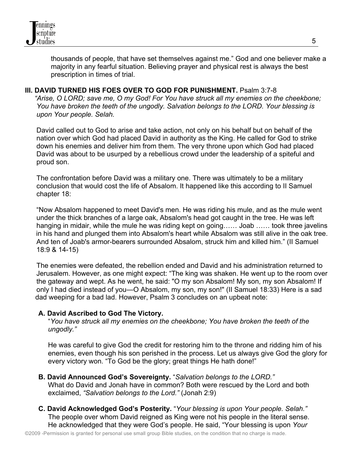thousands of people, that have set themselves against me." God and one believer make a majority in any fearful situation. Believing prayer and physical rest is always the best prescription in times of trial.

#### **III. DAVID TURNED HIS FOES OVER TO GOD FOR PUNISHMENT.** Psalm 3:7-8

*"Arise, O LORD; save me, O my God! For You have struck all my enemies on the cheekbone; You have broken the teeth of the ungodly. Salvation belongs to the LORD. Your blessing is upon Your people. Selah.* 

 David called out to God to arise and take action, not only on his behalf but on behalf of the nation over which God had placed David in authority as the King. He called for God to strike down his enemies and deliver him from them. The very throne upon which God had placed David was about to be usurped by a rebellious crowd under the leadership of a spiteful and proud son.

 The confrontation before David was a military one. There was ultimately to be a military conclusion that would cost the life of Absalom. It happened like this according to II Samuel chapter 18:

 "Now Absalom happened to meet David's men. He was riding his mule, and as the mule went under the thick branches of a large oak, Absalom's head got caught in the tree. He was left hanging in midair, while the mule he was riding kept on going…… Joab …… took three javelins in his hand and plunged them into Absalom's heart while Absalom was still alive in the oak tree. And ten of Joab's armor-bearers surrounded Absalom, struck him and killed him." (II Samuel 18:9 & 14-15)

 The enemies were defeated, the rebellion ended and David and his administration returned to Jerusalem. However, as one might expect: "The king was shaken. He went up to the room over the gateway and wept. As he went, he said: "O my son Absalom! My son, my son Absalom! If only I had died instead of you—O Absalom, my son, my son!" (II Samuel 18:33) Here is a sad dad weeping for a bad lad. However, Psalm 3 concludes on an upbeat note:

### **A. David Ascribed to God The Victory.**

 "*You have struck all my enemies on the cheekbone; You have broken the teeth of the ungodly."*

He was careful to give God the credit for restoring him to the throne and ridding him of his enemies, even though his son perished in the process. Let us always give God the glory for every victory won. "To God be the glory; great things He hath done!"

- **B. David Announced God's Sovereignty.** "*Salvation belongs to the LORD."* What do David and Jonah have in common? Both were rescued by the Lord and both exclaimed, *"Salvation belongs to the Lord."* (Jonah 2:9)
- **C. David Acknowledged God's Posterity.** "*Your blessing is upon Your people. Selah."*  The people over whom David reigned as King were not his people in the literal sense. He acknowledged that they were God's people. He said, "Your blessing is upon *Your*

5